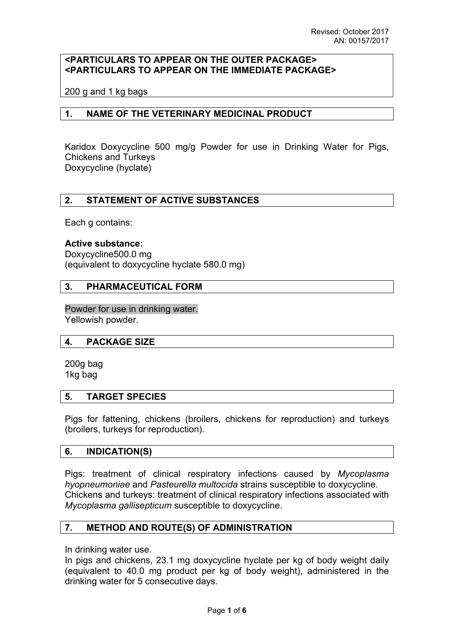# **<PARTICULARS TO APPEAR ON THE OUTER PACKAGE> <PARTICULARS TO APPEAR ON THE IMMEDIATE PACKAGE>**

200 g and 1 kg bags

### **1. NAME OF THE VETERINARY MEDICINAL PRODUCT**

Karidox Doxycycline 500 mg/g Powder for use in Drinking Water for Pigs, Chickens and Turkeys Doxycycline (hyclate)

### **2. STATEMENT OF ACTIVE SUBSTANCES**

Each g contains:

#### **Active substance:**

Doxycycline500.0 mg (equivalent to doxycycline hyclate 580.0 mg)

### **3. PHARMACEUTICAL FORM**

Powder for use in drinking water. Yellowish powder.

### **4. PACKAGE SIZE**

200g bag 1kg bag

### **5. TARGET SPECIES**

Pigs for fattening, chickens (broilers, chickens for reproduction) and turkeys (broilers, turkeys for reproduction).

### **6. INDICATION(S)**

Pigs: treatment of clinical respiratory infections caused by *Mycoplasma hyopneumoniae* and *Pasteurella multocida* strains susceptible to doxycycline. Chickens and turkeys: treatment of clinical respiratory infections associated with *Mycoplasma gallisepticum* susceptible to doxycycline.

# **7. METHOD AND ROUTE(S) OF ADMINISTRATION**

In drinking water use.

In pigs and chickens, 23.1 mg doxycycline hyclate per kg of body weight daily (equivalent to 40.0 mg product per kg of body weight), administered in the drinking water for 5 consecutive days.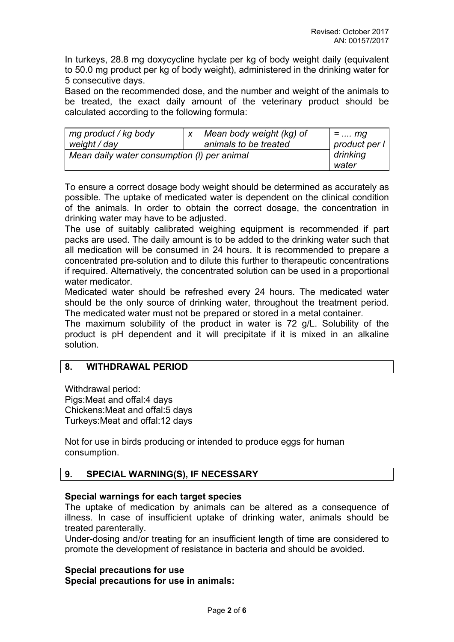In turkeys, 28.8 mg doxycycline hyclate per kg of body weight daily (equivalent to 50.0 mg product per kg of body weight), administered in the drinking water for 5 consecutive days.

Based on the recommended dose, and the number and weight of the animals to be treated, the exact daily amount of the veterinary product should be calculated according to the following formula:

| mg product / kg body                        |  | Mean body weight (kg) of | $=$ mg        |
|---------------------------------------------|--|--------------------------|---------------|
| weight / day                                |  | animals to be treated    | product per l |
| Mean daily water consumption (I) per animal |  |                          | drinking      |
|                                             |  |                          | water         |

To ensure a correct dosage body weight should be determined as accurately as possible. The uptake of medicated water is dependent on the clinical condition of the animals. In order to obtain the correct dosage, the concentration in drinking water may have to be adjusted.

The use of suitably calibrated weighing equipment is recommended if part packs are used. The daily amount is to be added to the drinking water such that all medication will be consumed in 24 hours. It is recommended to prepare a concentrated pre-solution and to dilute this further to therapeutic concentrations if required. Alternatively, the concentrated solution can be used in a proportional water medicator.

Medicated water should be refreshed every 24 hours. The medicated water should be the only source of drinking water, throughout the treatment period. The medicated water must not be prepared or stored in a metal container.

The maximum solubility of the product in water is 72 g/L. Solubility of the product is pH dependent and it will precipitate if it is mixed in an alkaline solution.

# **8. WITHDRAWAL PERIOD**

Withdrawal period: Pigs:Meat and offal:4 days Chickens:Meat and offal:5 days Turkeys:Meat and offal:12 days

Not for use in birds producing or intended to produce eggs for human consumption.

# **9. SPECIAL WARNING(S), IF NECESSARY**

# **Special warnings for each target species**

The uptake of medication by animals can be altered as a consequence of illness. In case of insufficient uptake of drinking water, animals should be treated parenterally.

Under-dosing and/or treating for an insufficient length of time are considered to promote the development of resistance in bacteria and should be avoided.

### **Special precautions for use**

**Special precautions for use in animals:**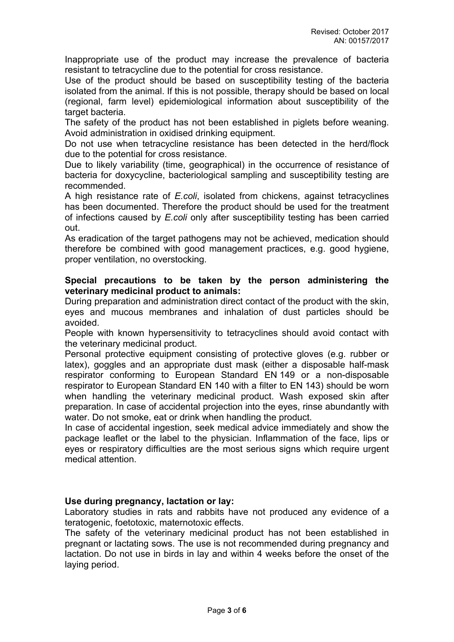Inappropriate use of the product may increase the prevalence of bacteria resistant to tetracycline due to the potential for cross resistance.

Use of the product should be based on susceptibility testing of the bacteria isolated from the animal. If this is not possible, therapy should be based on local (regional, farm level) epidemiological information about susceptibility of the target bacteria.

The safety of the product has not been established in piglets before weaning. Avoid administration in oxidised drinking equipment.

Do not use when tetracycline resistance has been detected in the herd/flock due to the potential for cross resistance.

Due to likely variability (time, geographical) in the occurrence of resistance of bacteria for doxycycline, bacteriological sampling and susceptibility testing are recommended.

A high resistance rate of *E.coli*, isolated from chickens, against tetracyclines has been documented. Therefore the product should be used for the treatment of infections caused by *E.coli* only after susceptibility testing has been carried out.

As eradication of the target pathogens may not be achieved, medication should therefore be combined with good management practices, e.g. good hygiene, proper ventilation, no overstocking.

## **Special precautions to be taken by the person administering the veterinary medicinal product to animals:**

During preparation and administration direct contact of the product with the skin, eyes and mucous membranes and inhalation of dust particles should be avoided.

People with known hypersensitivity to tetracyclines should avoid contact with the veterinary medicinal product.

Personal protective equipment consisting of protective gloves (e.g. rubber or latex), goggles and an appropriate dust mask (either a disposable half-mask respirator conforming to European Standard EN 149 or a non-disposable respirator to European Standard EN 140 with a filter to EN 143) should be worn when handling the veterinary medicinal product. Wash exposed skin after preparation. In case of accidental projection into the eyes, rinse abundantly with water. Do not smoke, eat or drink when handling the product.

In case of accidental ingestion, seek medical advice immediately and show the package leaflet or the label to the physician. Inflammation of the face, lips or eyes or respiratory difficulties are the most serious signs which require urgent medical attention.

# **Use during pregnancy, lactation or lay:**

Laboratory studies in rats and rabbits have not produced any evidence of a teratogenic, foetotoxic, maternotoxic effects.

The safety of the veterinary medicinal product has not been established in pregnant or lactating sows. The use is not recommended during pregnancy and lactation. Do not use in birds in lay and within 4 weeks before the onset of the laying period.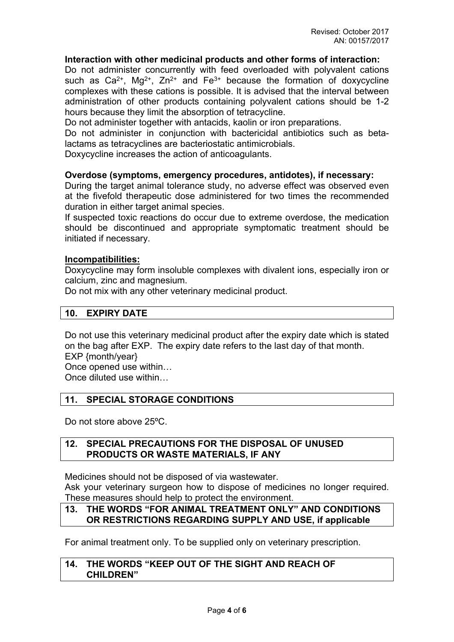### **Interaction with other medicinal products and other forms of interaction:**

Do not administer concurrently with feed overloaded with polyvalent cations such as  $Ca^{2+}$ , Mg<sup>2+</sup>, Zn<sup>2+</sup> and Fe<sup>3+</sup> because the formation of doxycycline complexes with these cations is possible. It is advised that the interval between administration of other products containing polyvalent cations should be 1-2 hours because they limit the absorption of tetracycline.

Do not administer together with antacids, kaolin or iron preparations.

Do not administer in conjunction with bactericidal antibiotics such as betalactams as tetracyclines are bacteriostatic antimicrobials.

Doxycycline increases the action of anticoagulants.

### **Overdose (symptoms, emergency procedures, antidotes), if necessary:**

During the target animal tolerance study, no adverse effect was observed even at the fivefold therapeutic dose administered for two times the recommended duration in either target animal species.

If suspected toxic reactions do occur due to extreme overdose, the medication should be discontinued and appropriate symptomatic treatment should be initiated if necessary.

### **Incompatibilities:**

Doxycycline may form insoluble complexes with divalent ions, especially iron or calcium, zinc and magnesium.

Do not mix with any other veterinary medicinal product.

## **10. EXPIRY DATE**

Do not use this veterinary medicinal product after the expiry date which is stated on the bag after EXP. The expiry date refers to the last day of that month. EXP {month/year} Once opened use within…

Once diluted use within…

# **11. SPECIAL STORAGE CONDITIONS**

Do not store above 25ºC.

### **12. SPECIAL PRECAUTIONS FOR THE DISPOSAL OF UNUSED PRODUCTS OR WASTE MATERIALS, IF ANY**

Medicines should not be disposed of via wastewater.

Ask your veterinary surgeon how to dispose of medicines no longer required. These measures should help to protect the environment.

### **13. THE WORDS "FOR ANIMAL TREATMENT ONLY" AND CONDITIONS OR RESTRICTIONS REGARDING SUPPLY AND USE, if applicable**

For animal treatment only. To be supplied only on veterinary prescription.

### **14. THE WORDS "KEEP OUT OF THE SIGHT AND REACH OF CHILDREN"**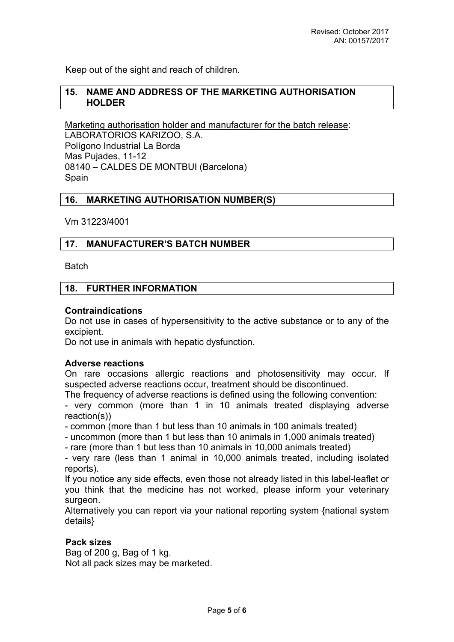Keep out of the sight and reach of children.

## **15. NAME AND ADDRESS OF THE MARKETING AUTHORISATION HOLDER**

Marketing authorisation holder and manufacturer for the batch release: LABORATORIOS KARIZOO, S.A. Polígono Industrial La Borda Mas Pujades, 11-12 08140 – CALDES DE MONTBUI (Barcelona) Spain

### **16. MARKETING AUTHORISATION NUMBER(S)**

Vm 31223/4001

### **17. MANUFACTURER'S BATCH NUMBER**

**Batch** 

### **18. FURTHER INFORMATION**

#### **Contraindications**

Do not use in cases of hypersensitivity to the active substance or to any of the excipient.

Do not use in animals with hepatic dysfunction.

#### **Adverse reactions**

On rare occasions allergic reactions and photosensitivity may occur. If suspected adverse reactions occur, treatment should be discontinued.

The frequency of adverse reactions is defined using the following convention:

- very common (more than 1 in 10 animals treated displaying adverse reaction(s))

- common (more than 1 but less than 10 animals in 100 animals treated)

- uncommon (more than 1 but less than 10 animals in 1,000 animals treated)

- rare (more than 1 but less than 10 animals in 10,000 animals treated)

- very rare (less than 1 animal in 10,000 animals treated, including isolated reports).

If you notice any side effects, even those not already listed in this label-leaflet or you think that the medicine has not worked, please inform your veterinary surgeon.

Alternatively you can report via your national reporting system {national system details}

### **Pack sizes**

Bag of 200 g, Bag of 1 kg. Not all pack sizes may be marketed.